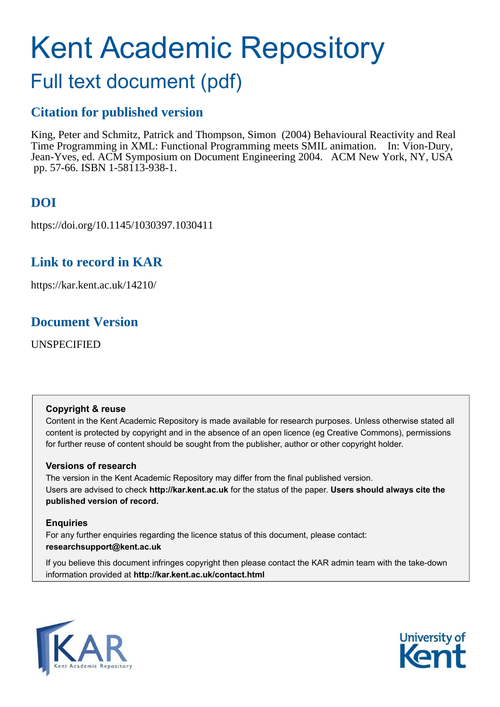# Kent Academic Repository

# Full text document (pdf)

# **Citation for published version**

King, Peter and Schmitz, Patrick and Thompson, Simon (2004) Behavioural Reactivity and Real Time Programming in XML: Functional Programming meets SMIL animation. In: Vion-Dury, Jean-Yves, ed. ACM Symposium on Document Engineering 2004. ACM New York, NY, USA pp. 57-66. ISBN 1-58113-938-1.

# **DOI**

https://doi.org/10.1145/1030397.1030411

# **Link to record in KAR**

https://kar.kent.ac.uk/14210/

# **Document Version**

UNSPECIFIED

## **Copyright & reuse**

Content in the Kent Academic Repository is made available for research purposes. Unless otherwise stated all content is protected by copyright and in the absence of an open licence (eg Creative Commons), permissions for further reuse of content should be sought from the publisher, author or other copyright holder.

## **Versions of research**

The version in the Kent Academic Repository may differ from the final published version. Users are advised to check **http://kar.kent.ac.uk** for the status of the paper. **Users should always cite the published version of record.**

## **Enquiries**

For any further enquiries regarding the licence status of this document, please contact: **researchsupport@kent.ac.uk**

If you believe this document infringes copyright then please contact the KAR admin team with the take-down information provided at **http://kar.kent.ac.uk/contact.html**



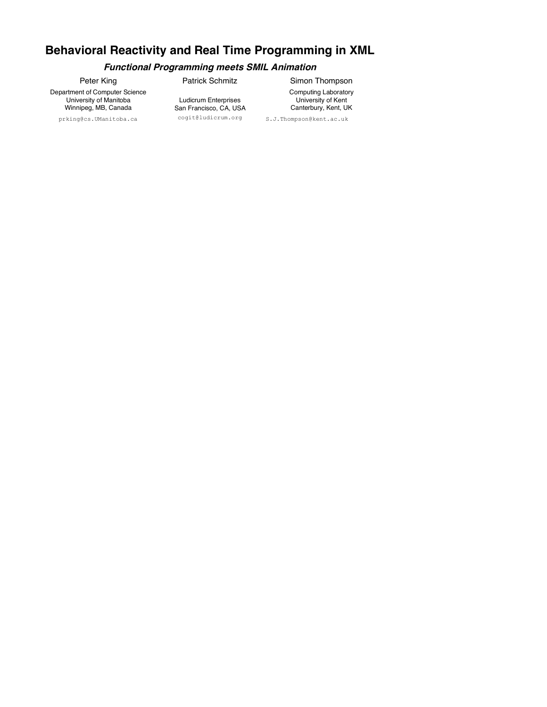# **Behavioral Reactivity and Real Time Programming in XML**

## **Functional Programming meets SMIL Animation**

Peter King

Department of Computer Science University of Manitoba Winnipeg, MB, Canada

Patrick Schmitz

Ludicrum Enterprises San Francisco, CA, USA cogit@ludicrum.org

Simon Thompson Computing Laboratory University of Kent Canterbury, Kent, UK

S.J.Thompson@kent.ac.uk

prking@cs.UManitoba.ca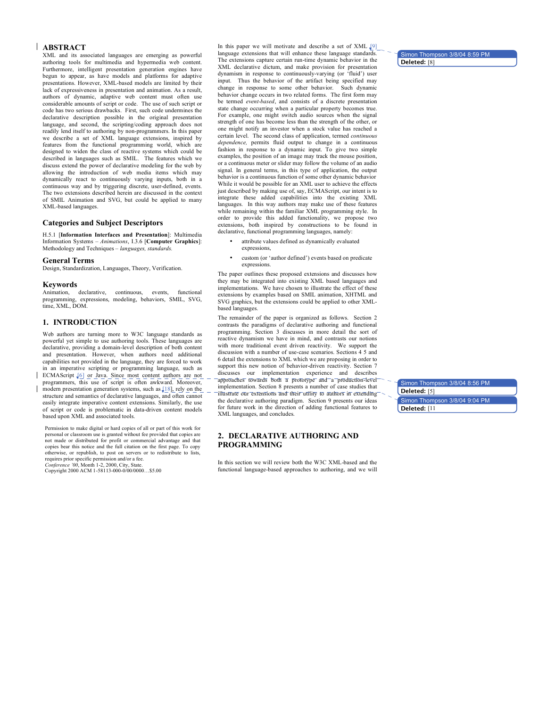#### **ABSTRACT**

XML and its associated languages are emerging as powerful authoring tools for multimedia and hypermedia web content. Furthermore, intelligent presentation generation engines have begun to appear, as have models and platforms for adaptive presentations. However, XML-based models are limited by their lack of expressiveness in presentation and animation. As a result, authors of dynamic, adaptive web content must often use considerable amounts of script or code. The use of such script or code has two serious drawbacks. First, such code undermines the declarative description possible in the original presentation language, and second, the scripting/coding approach does not readily lend itself to authoring by non-programmers. In this paper we describe a set of XML language extensions, inspired by features from the functional programming world, which are designed to widen the class of reactive systems which could be described in languages such as SMIL. The features which we discuss extend the power of declarative modeling for the web by allowing the introduction of web media items which may dynamically react to continuously varying inputs, both in a continuous way and by triggering discrete, user-defined, events. The two extensions described herein are discussed in the context of SMIL Animation and SVG, but could be applied to many XML-based languages.

#### **Categories and Subject Descriptors**

H.5.1 [**Information Interfaces and Presentation**]: Multimedia Information Systems – *Animations*, I.3.6 [**Computer Graphics**]: Methodology and Techniques – *languages, standards.*

#### **General Terms**

Design, Standardization, Languages, Theory, Verification.

#### **Keywords**

Animation, declarative, continuous, events, functional programming, expressions, modeling, behaviors, SMIL, SVG, time, XML, DOM.

#### **1. INTRODUCTION**

Web authors are turning more to W3C language standards as powerful yet simple to use authoring tools. These languages are declarative, providing a domain-level description of both content and presentation. However, when authors need additional capabilities not provided in the language, they are forced to work in an imperative scripting or programming language, such as ECMAScript [6] or Java. Since most content authors are not

programmers, this use of script is often awkward. Moreover, modern presentation generation systems, such as  $[18]$ , rely on the

structure and semantics of declarative languages, and often cannot easily integrate imperative content extensions. Similarly, the use of script or code is problematic in data-driven content models based upon XML and associated tools.

Permission to make digital or hard copies of all or part of this work for personal or classroom use is granted without fee provided that copies are not made or distributed for profit or commercial advantage and that copies bear this notice and the full citation on the first page. To copy otherwise, or republish, to post on servers or to redistribute to lists, requires prior specific permission and/or a fee. *Conference '00*, Month 1-2, 2000, City, State.

Copyright 2000 ACM 1-58113-000-0/00/0000…\$5.00

In this paper we will motivate and describe a set of XML  $[9]$ language extensions that will enhance these language standards. The extensions capture certain run-time dynamic behavior in the XML declarative dictum, and make provision for presentation dynamism in response to continuously-varying (or 'fluid') user input. Thus the behavior of the artifact being specified may change in response to some other behavior. Such dynamic behavior change occurs in two related forms. The first form may be termed *event-based*, and consists of a discrete presentation state change occurring when a particular property becomes true. For example, one might switch audio sources when the signal strength of one has become less than the strength of the other, or one might notify an investor when a stock value has reached a certain level. The second class of application, termed *continuous dependence,* permits fluid output to change in a continuous fashion in response to a dynamic input. To give two simple examples, the position of an image may track the mouse position, or a continuous meter or slider may follow the volume of an audio signal. In general terms, in this type of application, the output behavior is a continuous function of some other dynamic behavior While it would be possible for an XML user to achieve the effects just described by making use of, say, ECMAScript, our intent is to integrate these added capabilities into the existing XML languages. In this way authors may make use of these features while remaining within the familiar XML programming style. In order to provide this added functionality, we propose two extensions, both inspired by constructions to be found in declarative, functional programming languages, namely:

- attribute values defined as dynamically evaluated expressions,
- custom (or 'author defined') events based on predicate expressions.

The paper outlines these proposed extensions and discusses how they may be integrated into existing XML based languages and implementations. We have chosen to illustrate the effect of these extensions by examples based on SMIL animation, XHTML and SVG graphics, but the extensions could be applied to other XMLbased languages.

The remainder of the paper is organized as follows. Section 2 contrasts the paradigms of declarative authoring and functional programming. Section 3 discusses in more detail the sort of reactive dynamism we have in mind, and contrasts our notions with more traditional event driven reactivity. We support the discussion with a number of use-case scenarios. Sections 4.5 and 6 detail the extensions to XML which we are proposing in order to support this new notion of behavior-driven reactivity. Section 7 discusses our implementation experience and describes approaches towards both a prototype and a production-level implementation. Section 8 presents a number of case studies that illustrate our extensions and their utility to authors in extending the declarative authoring paradigm. Section 9 presents our ideas for future work in the direction of adding functional features to XML languages, and concludes.

#### **2. DECLARATIVE AUTHORING AND PROGRAMMING**

In this section we will review both the W3C XML-based and the functional language-based approaches to authoring, and we will

Simon Thompson 3/8/04 8:56 PM Simon Thompson 3/8/04 9:04 PM **Deleted:** [5] **Deleted:** [11

Simon Thompson 3/8/04 8:59 PM **Deleted:** [8]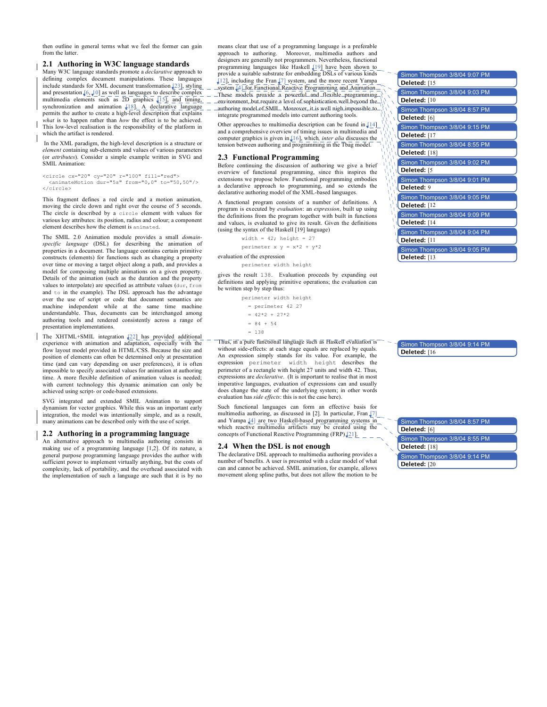then outline in general terms what we feel the former can gain from the latter.

#### **2.1 Authoring in W3C language standards**

Many W3C language standards promote a *declarative* approach to defining complex document manipulations. These languages include standards for XML document transformation [23], styling and presentation  $[6, 10]$  as well as languages to describe complex multimedia elements such as 2D graphics [15], and timing, synchronization and animation  $[18]$ . A declarative language permits the author to create a high-level description that explains *what* is to happen rather than *how* the effect is to be achieved.

This low-level realisation is the responsibility of the platform in which the artifact is rendered.

 In the XML paradigm, the high-level description is a structure or *element* containing sub-elements and values of various parameters (or *attributes*). Consider a simple example written in SVG and SMIL Animation:

<circle cx="20" cy="20" r="100" fill="red"> <animateMotion dur="5s" from="0,0" to="50,50"/> </circle>

This fragment defines a red circle and a motion animation, moving the circle down and right over the course of 5 seconds. The circle is described by a circle element with values for various key attributes: its position, radius and colour; a component element describes how the element is animated.

The SMIL 2.0 Animation module provides a small *domainspecific language* (DSL) for describing the animation of properties in a document. The language contains certain primitive constructs (elements) for functions such as changing a property over time or moving a target object along a path, and provides a model for composing multiple animations on a given property. Details of the animation (such as the duration and the property values to interpolate) are specified as attribute values (dur, from and to in the example). The DSL approach has the advantage over the use of script or code that document semantics are machine independent while at the same time machine understandable. Thus, documents can be interchanged among authoring tools and rendered consistently across a range of presentation implementations.

The XHTML+SMIL integration [22] has provided additional experience with animation and adaptation, especially with the flow layout model provided in HTML/CSS. Because the size and position of elements can often be determined only at presentation time (and can vary depending on user preferences), it is often impossible to specify associated values for animation at authoring time. A more flexible definition of animation values is needed; with current technology this dynamic animation can only be achieved using script- or code-based extensions.

SVG integrated and extended SMIL Animation to support dynamism for vector graphics. While this was an important early integration, the model was intentionally simple, and as a result, many animations can be described only with the use of script.

#### **2.2 Authoring in a programming language**

An alternative approach to multimedia authoring consists in making use of a programming language [1,2]. Of its nature, a general purpose programming language provides the author with sufficient power to implement virtually anything, but the costs of complexity, lack of portability, and the overhead associated with the implementation of such a language are such that it is by no

means clear that use of a programming language is a preferable approach to authoring. Moreover, multimedia authors and designers are generally not programmers. Nevertheless, functional programming languages like Haskell [19] have been shown to provide a suitable substrate for embedding DSLs of various kinds [12], including the Fran [7] system, and the more recent Yampa system [4] for Functional Reactive Programming and Animation. These models provide a powerful and flexible programming environment, but require a level of sophistication well beyond the authoring model of SMIL. Moreover, it is well nigh impossible to integrate programmed models into current authoring tools.

Other approaches to multimedia description can be found in [14] and a comprehensive overview of timing issues in multimedia and computer graphics is given in [16], which*, inter alia* discusses the tension between authoring and programming in the Tbag model.

#### **2.3 Functional Programming**

Before continuing the discussion of authoring we give a brief overview of functional programming, since this inspires the extensions we propose below. Functional programming embodies a declarative approach to programming, and so extends the declarative authoring model of the XML-based languages.

A functional program consists of a number of definitions. A program is executed by *evaluation*: an *expression*, built up using the definitions from the program together with built in functions and values, is evaluated to give its result. Given the definitions (using the syntax of the Haskell [19] language)

width =  $42;$  height =  $27$ 

perimeter x y = x\*2 + y\*2

#### evaluation of the expression

perimeter width height

gives the result 138. Evaluation proceeds by expanding out definitions and applying primitive operations; the evaluation can be written step by step thus:

perimeter width height

- = perimeter 42 27
- $= 42*2 + 27*2$
- $= 84 + 54$
- $= 138$

Thus, in a pure functional language such as Haskell evaluation is without side-effects: at each stage equals are replaced by equals. An expression simply stands for its value. For example, the expression perimeter width height describes the perimeter of a rectangle with height 27 units and width 42. Thus, expressions are *declarative*. (It is important to realise that in most imperative languages, evaluation of expressions can and usually does change the state of the underlying system; in other words evaluation has *side effects*: this is not the case here).

Such functional languages can form an effective basis for multimedia authoring, as discussed in [2]. In particular, Fran [7] and Yampa [4] are two Haskell-based programming systems in which reactive multimedia artifacts may be created using the concepts of Functional Reactive Programming (FRP) [21].

#### **2.4 When the DSL is not enough**

The declarative DSL approach to multimedia authoring provides a number of benefits. A user is presented with a clear model of what can and cannot be achieved. SMIL animation, for example, allows movement along spline paths, but does not allow the motion to be

| Simon Thompson 3/8/04 9:07 PM |
|-------------------------------|
| Deleted: [15                  |
| Simon Thompson 3/8/04 9:03 PM |
| Deleted: [10                  |
| Simon Thompson 3/8/04 8:57 PM |
| Deleted: [6]                  |
| Simon Thompson 3/8/04 9:15 PM |
| Deleted: [17                  |
| Simon Thompson 3/8/04 8:55 PM |
| Deleted: [18]                 |
| Simon Thompson 3/8/04 9:02 PM |
| Deleted: [5                   |
| Simon Thompson 3/8/04 9:01 PM |
| Deleted: 9                    |
| Simon Thompson 3/8/04 9:05 PM |
| Deleted: [12                  |
| Simon Thompson 3/8/04 9:09 PM |
| Deleted: [14                  |
| Simon Thompson 3/8/04 9:04 PM |
| Deleted: [11                  |
| Simon Thompson 3/8/04 9:05 PM |
| Deleted: [13                  |

Simon Thompson 3/8/04 9:14 PM **Deleted:** [16

| Simon Thompson 3/8/04 8:57 PM |
|-------------------------------|
| Deleted: [6]                  |
| Simon Thompson 3/8/04 8:55 PM |
| Deleted: [18]                 |
| Simon Thompson 3/8/04 9:14 PM |
| Deleted: [20                  |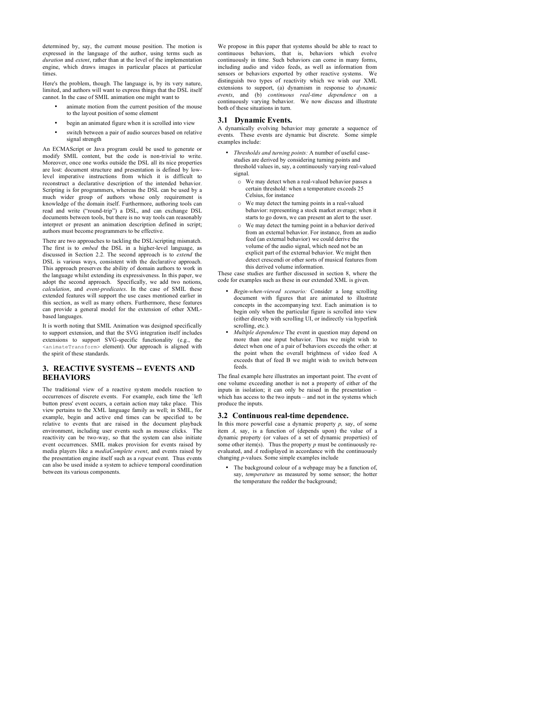determined by, say, the current mouse position. The motion is expressed in the language of the author, using terms such as *duration* and *extent*, rather than at the level of the implementation engine, which draws images in particular places at particular times.

Here's the problem, though. The language is, by its very nature, limited, and authors will want to express things that the DSL itself cannot. In the case of SMIL animation one might want to

- animate motion from the current position of the mouse to the layout position of some element
- begin an animated figure when it is scrolled into view
- switch between a pair of audio sources based on relative signal strength

An ECMAScript or Java program could be used to generate or modify SMIL content, but the code is non-trivial to write. Moreover, once one works outside the DSL all its nice properties are lost: document structure and presentation is defined by lowlevel imperative instructions from which it is difficult to reconstruct a declarative description of the intended behavior. Scripting is for programmers, whereas the DSL can be used by a much wider group of authors whose only requirement is knowledge of the domain itself. Furthermore, authoring tools can read and write ("round-trip") a DSL, and can exchange DSL documents between tools, but there is no way tools can reasonably interpret or present an animation description defined in script; authors must become programmers to be effective.

There are two approaches to tackling the DSL/scripting mismatch. The first is to *embed* the DSL in a higher-level language, as discussed in Section 2.2*.* The second approach is to *extend* the DSL is various ways, consistent with the declarative approach. This approach preserves the ability of domain authors to work in the language whilst extending its expressiveness. In this paper, we adopt the second approach. Specifically, we add two notions, *calculation*, and *event-predicates*. In the case of SMIL these extended features will support the use cases mentioned earlier in this section, as well as many others. Furthermore, these features can provide a general model for the extension of other XMLbased languages.

It is worth noting that SMIL Animation was designed specifically to support extension, and that the SVG integration itself includes extensions to support SVG-specific functionality (e.g., the <animateTransform> element). Our approach is aligned with the spirit of these standards.

#### **3. REACTIVE SYSTEMS -- EVENTS AND BEHAVIORS**

The traditional view of a reactive system models reaction to occurrences of discrete events. For example, each time the `left button press' event occurs, a certain action may take place. This view pertains to the XML language family as well; in SMIL, for example, begin and active end times can be specified to be relative to events that are raised in the document playback environment, including user events such as mouse clicks. The reactivity can be two-way, so that the system can also initiate event occurrences. SMIL makes provision for events raised by media players like a *mediaComplete event*, and events raised by the presentation engine itself such as a *repeat* event. Thus events can also be used inside a system to achieve temporal coordination between its various components.

We propose in this paper that systems should be able to react to continuous behaviors, that is, behaviors which evolve continuously in time. Such behaviors can come in many forms, including audio and video feeds, as well as information from sensors or behaviors exported by other reactive systems. We distinguish two types of reactivity which we wish our XML extensions to support, (a) dynamism in response to *dynamic events*, and (b) *continuous real-time dependence* on a continuously varying behavior. We now discuss and illustrate both of these situations in turn.

#### **3.1 Dynamic Events.**

A dynamically evolving behavior may generate a sequence of events. These events are dynamic but discrete. Some simple examples include:

- *Thresholds and turning points:* A number of useful casestudies are derived by considering turning points and threshold values in, say, a continuously varying real-valued signal.
	- o We may detect when a real-valued behavior passes a certain threshold: when a temperature exceeds 25 Celsius, for instance
	- o We may detect the turning points in a real-valued behavior: representing a stock market average; when it starts to go down, we can present an alert to the user.
	- o We may detect the turning point in a behavior derived from an external behavior. For instance, from an audio feed (an external behavior) we could derive the volume of the audio signal, which need not be an explicit part of the external behavior. We might then detect crescendi or other sorts of musical features from this derived volume information.

These case studies are further discussed in section 8, where the code for examples such as these in our extended XML is given.

- ¥ *Begin-when-viewed scenario:* Consider a long scrolling document with figures that are animated to illustrate concepts in the accompanying text. Each animation is to begin only when the particular figure is scrolled into view (either directly with scrolling UI, or indirectly via hyperlink scrolling, etc.).
- *Multiple dependence* The event in question may depend on more than one input behavior. Thus we might wish to detect when one of a pair of behaviors exceeds the other: at the point when the overall brightness of video feed A exceeds that of feed B we might wish to switch between feeds.

The final example here illustrates an important point. The event of one volume exceeding another is not a property of either of the inputs in isolation; it can only be raised in the presentation – which has access to the two inputs – and not in the systems which produce the inputs.

#### **3.2 Continuous real-time dependence.**

In this more powerful case a dynamic property *p,* say, of some item *A,* say, is a function of (depends upon) the value of a dynamic property (or values of a set of dynamic properties) of some other item(s). Thus the property  $p$  must be continuously reevaluated, and *A* redisplayed in accordance with the continuously changing *p*-values. Some simple examples include

The background colour of a webpage may be a function of say, *temperature* as measured by some sensor; the hotter the temperature the redder the background;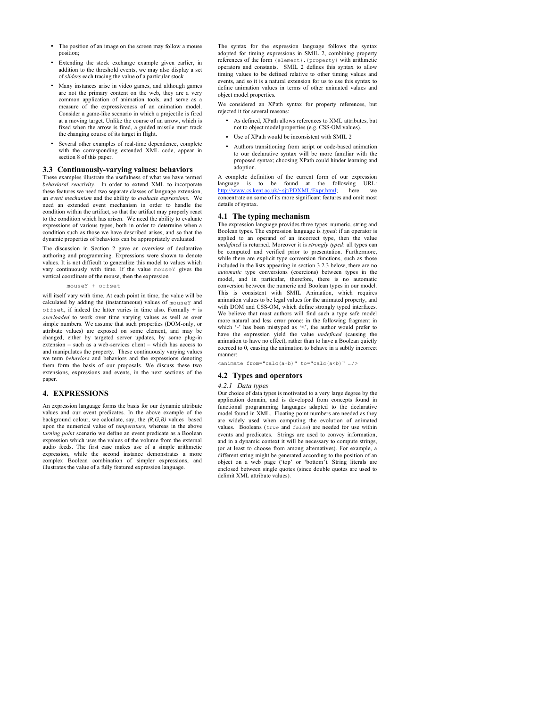- The position of an image on the screen may follow a mouse position;
- Extending the stock exchange example given earlier, in addition to the threshold events, we may also display a set of *sliders* each tracing the value of a particular stock
- Many instances arise in video games, and although games are not the primary content on the web, they are a very common application of animation tools, and serve as a measure of the expressiveness of an animation model. Consider a game-like scenario in which a projectile is fired at a moving target. Unlike the course of an arrow, which is fixed when the arrow is fired, a guided missile must track the changing course of its target in flight.
- Several other examples of real-time dependence, complete with the corresponding extended XML code, appear in section 8 of this paper.

#### **3.3 Continuously-varying values: behaviors**

These examples illustrate the usefulness of what we have termed *behavioral reactivity*. In order to extend XML to incorporate these features we need two separate classes of language extension, an *event mechanism* and the ability to *evaluate expressions.* We need an extended event mechanism in order to handle the condition within the artifact, so that the artifact may properly react to the condition which has arisen. We need the ability to evaluate expressions of various types, both in order to determine when a condition such as those we have described arises, and so that the dynamic properties of behaviors can be appropriately evaluated.

The discussion in Section 2 gave an overview of declarative authoring and programming. Expressions were shown to denote values. It is not difficult to generalize this model to values which vary continuously with time. If the value mousey gives the vertical coordinate of the mouse, then the expression

#### mouseY + offset

will itself vary with time. At each point in time, the value will be calculated by adding the (instantaneous) values of mouseY and  $offset$ , if indeed the latter varies in time also. Formally + is *overloaded* to work over time varying values as well as over simple numbers. We assume that such properties (DOM-only, or attribute values) are exposed on some element, and may be changed, either by targeted server updates, by some plug-in extension – such as a web-services client – which has access to and manipulates the property. These continuously varying values we term *behaviors* and behaviors and the expressions denoting them form the basis of our proposals. We discuss these two extensions, expressions and events, in the next sections of the paper.

#### **4. EXPRESSIONS**

An expression language forms the basis for our dynamic attribute values and our event predicates. In the above example of the background colour, we calculate, say, the *(R,G,B)* values based upon the numerical value of *temperature*, whereas in the above *turning point* scenario we define an event predicate as a Boolean expression which uses the values of the volume from the external audio feeds. The first case makes use of a simple arithmetic expression, while the second instance demonstrates a more complex Boolean combination of simpler expressions, and illustrates the value of a fully featured expression language.

The syntax for the expression language follows the syntax adopted for timing expressions in SMIL 2, combining property references of the form {element}.{property} with arithmetic operators and constants. SMIL 2 defines this syntax to allow timing values to be defined relative to other timing values and events, and so it is a natural extension for us to use this syntax to define animation values in terms of other animated values and object model properties.

We considered an XPath syntax for property references, but rejected it for several reasons:

- As defined, XPath allows references to XML attributes, but not to object model properties (e.g. CSS-OM values).
- Use of XPath would be inconsistent with SMIL 2
- Authors transitioning from script or code-based animation to our declarative syntax will be more familiar with the proposed syntax; choosing XPath could hinder learning and adoption.

A complete definition of the current form of our expression language is to be found at the following URL:<br>http://www.cs.kent.ac.uk/~sjt/PDXML/Expr.html; here we /www.cs.kent.ac.uk/~sjt/PDXML/Expr.html; concentrate on some of its more significant features and omit most details of syntax.

#### **4.1 The typing mechanism**

The expression language provides three types: numeric, string and Boolean types. The expression language is *typed*: if an operator is applied to an operand of an incorrect type, then the value *undefined* is returned. Moreover it is *strongly typed*: all types can be computed and verified prior to presentation. Furthermore, while there are explicit type conversion functions, such as those included in the lists appearing in section 3.2.3 below, there are no *automatic* type conversions (coercions) between types in the model, and in particular, therefore, there is no automatic conversion between the numeric and Boolean types in our model. This is consistent with SMIL Animation, which requires animation values to be legal values for the animated property, and with DOM and CSS-OM, which define strongly typed interfaces. We believe that most authors will find such a type safe model more natural and less error prone: in the following fragment in which '-' has been mistyped as '<', the author would prefer to have the expression yield the value *undefined* (causing the animation to have no effect), rather than to have a Boolean quietly coerced to 0, causing the animation to behave in a subtly incorrect manner:

<animate from="calc(a+b)" to="calc(a<b)" …/>

#### **4.2 Types and operators**

#### *4.2.1 Data types*

Our choice of data types is motivated to a very large degree by the application domain, and is developed from concepts found in functional programming languages adapted to the declarative model found in XML. Floating point numbers are needed as they are widely used when computing the evolution of animated values. Booleans (*true* and *false*) are needed for use within events and predicates. Strings are used to convey information, and in a dynamic context it will be necessary to compute strings, (or at least to choose from among alternatives). For example, a different string might be generated according to the position of an object on a web page ('top' or 'bottom'). String literals are enclosed between single quotes (since double quotes are used to delimit XML attribute values).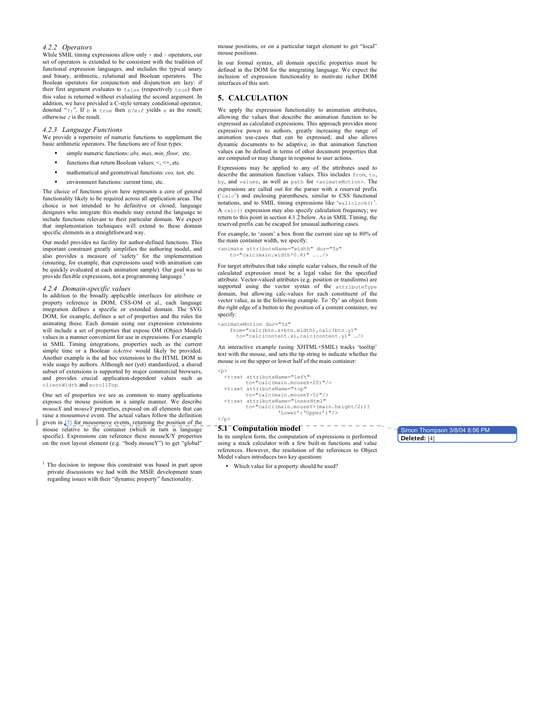#### *4.2.2 Operators*

While SMIL timing expressions allow only + and – operators, our set of operators is extended to be consistent with the tradition of functional expression languages, and includes the typical unary and binary, arithmetic, relational and Boolean operators. The Boolean operators for conjunction and disjunction are lazy: if their first argument evaluates to false (respectively true) then this value is returned without evaluating the second argument. In addition, we have provided a C-style ternary conditional operator, denoted "?:". If *b* is *true* then *b?e:f* yields *e* as the result; otherwise *f* is the result.

#### *4.2.3 Language Functions*

We provide a repertoire of numeric functions to supplement the basic arithmetic operators. The functions are of four types:

- simple numeric functions: *abs, max, min, floor,* etc.
- functions that return Boolean values:  $\leq$ ,  $\leq$  etc.
- mathematical and geometrical functions: *cos, tan,* etc.
- environment functions: current time, etc.

The choice of functions given here represents a core of general functionality likely to be required across all application areas. The choice is not intended to be definitive or closed; language designers who integrate this module may extend the language to include functions relevant to their particular domain. We expect that implementation techniques will extend to these domain specific elements in a straightforward way.

Our model provides no facility for author-defined functions. This important constraint greatly simplifies the authoring model, and also provides a measure of 'safety' for the implementation (ensuring, for example, that expressions used with animation can be quickly evaluated at each animation sample). Our goal was to provide flexible expressions, not a programming language.<sup>1</sup>

#### *4.2.4 Domain-specific values*

In addition to the broadly applicable interfaces for attribute or property reference in DOM, CSS-OM et al., each language integration defines a specific or extended domain. The SVG DOM, for example, defines a set of properties and the rules for animating these. Each domain using our expression extensions will include a set of properties that expose OM (Object Model) values in a manner convenient for use in expressions. For example in SMIL Timing integrations, properties such as the current simple time or a Boolean *isActive* would likely be provided. Another example is the ad hoc extensions to the HTML DOM in wide usage by authors. Although not (yet) standardized, a shared subset of extensions is supported by major commercial browsers, and provides crucial application-dependent values such as clientWidth and scrollTop.

One set of properties we see as common to many applications exposes the mouse position in a simple manner. We describe *mouseX* and *mouseY* properties, exposed on all elements that can raise a mousemove event. The actual values follow the definition given in [5] for mousemove events, returning the position of the mouse relative to the container (which in turn is language specific). Expressions can reference these mouseX/Y properties on the root layout element (e.g. "body.mouseY") to get "global"

mouse positions, or on a particular target element to get "local" mouse positions.

In our formal syntax, all domain specific properties must be defined in the DOM for the integrating language. We expect the inclusion of expression functionality to motivate richer DOM interfaces of this sort.

#### **5. CALCULATION**

We apply the expression functionality to animation attributes, allowing the values that describe the animation function to be expressed as calculated expressions. This approach provides more expressive power to authors, greatly increasing the range of animation use-cases that can be expressed, and also allows dynamic documents to be adaptive, in that animation function values can be defined in terms of other document properties that are computed or may change in response to user actions.

Expressions may be applied to any of the attributes used to describe the animation function values. This includes from, to, by, and values, as well as path for <animateMotion>. The expressions are called out for the parser with a reserved prefix ('calc') and enclosing parentheses, similar to CSS functional notations, and to SMIL timing expressions like 'wallclock()'. A calc() expression may also specify calculation frequency; we return to this point in section 4.1.2 below. As in SMIL Timing, the reserved prefix can be escaped for unusual authoring cases.

For example, to 'zoom' a box from the current size up to 80% of the main container width, we specify:

<animate attributeName="width" dur="5s"

to="calc(main.width\*0.8)" .../>

For target attributes that take simple scalar values, the result of the calculated expression must be a legal value for the specified attribute. Vector-valued attributes (e.g. position or transforms) are supported using the vector syntax of the attributeType domain, but allowing calc-values for each constituent of the vector value, as in the following example. To 'fly' an object from the right edge of a button to the position of a content container, we specify:

```
<animateMotion dur="5s"
   from="calc(btn.x+btn.width),calc(btn.y)
      to="calc(content.x),calc(content.y)" …/>
```
An interactive example (using XHTML+SMIL) tracks 'tooltip' text with the mouse, and sets the tip string to indicate whether the mouse is on the upper or lower half of the main container:

```
<p><br><t:set attributeName="left"
          to="calc(main.mouseX+20)"/>
   <t:set attributeName="top" 
          to="calc(main.mouseY-5)"/>
   <t:set attributeName="innerHtml" 
     to="calc((main.mouseY>(main.height/2))?
 'Lower':'Upper')"/>
```
 $\langle$ /p>

## **5.1 Computation model**

In its simplest form, the computation of expressions is performed using a stack calculator with a few built-in functions and value references. However, the resolution of the references to Object Model values introduces two key questions:

• Which value for a property should be used?

Simon Thompson 3/8/04 8:56 PM **Deleted:** [4]

<sup>&</sup>lt;sup>1</sup> The decision to impose this constraint was based in part upon private discussions we had with the MSIE development team regarding issues with their "dynamic property" functionality.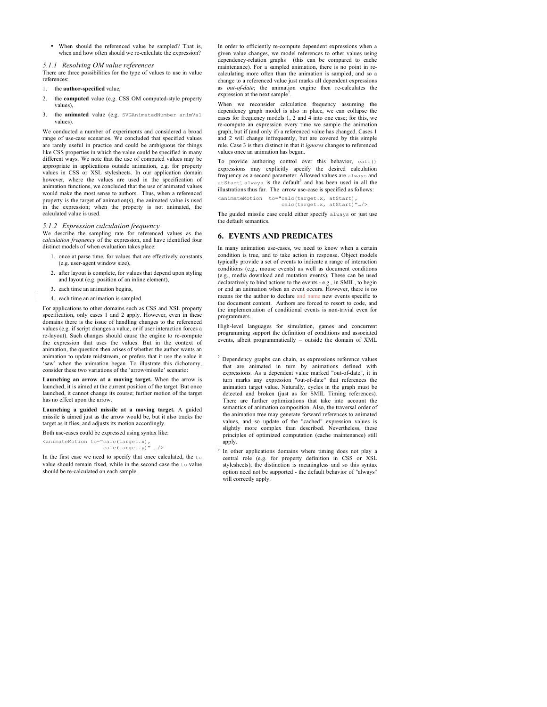When should the referenced value be sampled? That is, when and how often should we re-calculate the expression?

*5.1.1 Resolving OM value references*

There are three possibilities for the type of values to use in value references:

- 1. the **author-specified** value,
- 2. the **computed** value (e.g. CSS OM computed-style property values),
- 3. the **animated** value (e.g. SVGAnimatedNumber animVal values).

We conducted a number of experiments and considered a broad range of use-case scenarios. We concluded that specified values are rarely useful in practice and could be ambiguous for things like CSS properties in which the value could be specified in many different ways. We note that the use of computed values may be appropriate in applications outside animation, e.g. for property values in CSS or XSL stylesheets. In our application domain however, where the values are used in the specification of animation functions, we concluded that the use of animated values would make the most sense to authors. Thus, when a referenced property is the target of animation(s), the animated value is used in the expression; when the property is not animated, the calculated value is used.

#### *5.1.2 Expression calculation frequency*

We describe the sampling rate for referenced values as the *calculation frequency* of the expression, and have identified four distinct models of when evaluation takes place:

- 1. once at parse time, for values that are effectively constants (e.g. user-agent window size),
- 2. after layout is complete, for values that depend upon styling and layout (e.g. position of an inline element),
- 3. each time an animation begins,
- 4. each time an animation is sampled.

For applications to other domains such as CSS and XSL property specification, only cases 1 and 2 apply. However, even in these domains there is the issue of handling changes to the referenced values (e.g. if script changes a value, or if user interaction forces a re-layout). Such changes should cause the engine to re-compute the expression that uses the values. But in the context of animation, the question then arises of whether the author wants an animation to update midstream, or prefers that it use the value it 'saw' when the animation began. To illustrate this dichotomy, consider these two variations of the 'arrow/missile' scenario:

**Launching an arrow at a moving target.** When the arrow is launched, it is aimed at the current position of the target. But once launched, it cannot change its course; further motion of the target has no effect upon the arrow.

**Launching a guided missile at a moving target.** A guided missile is aimed just as the arrow would be, but it also tracks the target as it flies, and adjusts its motion accordingly.

Both use-cases could be expressed using syntax like:

<animateMotion to="calc(target.x),  $calc(target.y)$ "

In the first case we need to specify that once calculated, the to value should remain fixed, while in the second case the to value should be re-calculated on each sample.

In order to efficiently re-compute dependent expressions when a given value changes, we model references to other values using dependency-relation graphs (this can be compared to cache maintenance). For a sampled animation, there is no point in recalculating more often than the animation is sampled, and so a change to a referenced value just marks all dependent expressions as *out-of-date*; the animation engine then re-calculates the expression at the next sample<sup>2</sup> .

When we reconsider calculation frequency assuming the dependency graph model is also in place, we can collapse the cases for frequency models 1, 2 and 4 into one case; for this, we re-compute an expression every time we sample the animation graph, but if (and only if) a referenced value has changed. Cases 1 and 2 will change infrequently, but are covered by this simple rule. Case 3 is then distinct in that it *ignores* changes to referenced values once an animation has begun.

To provide authoring control over this behavior, calc() expressions may explicitly specify the desired calculation frequency as a second parameter. Allowed values are always and atStart; always is the default<sup>3</sup> and has been used in all the illustrations thus far. The arrow use-case is specified as follows:

<animateMotion to="calc(target.x, atStart), calc(target.x, atStart)"…/>

The guided missile case could either specify always or just use the default semantics.

#### **6. EVENTS AND PREDICATES**

In many animation use-cases, we need to know when a certain condition is true, and to take action in response. Object models typically provide a set of events to indicate a range of interaction conditions (e.g., mouse events) as well as document conditions (e.g., media download and mutation events). These can be used declaratively to bind actions to the events - e.g., in SMIL, to begin or end an animation when an event occurs. However, there is no means for the author to declare and name new events specific to the document content. Authors are forced to resort to code, and the implementation of conditional events is non-trivial even for programmers.

High-level languages for simulation, games and concurrent programming support the definition of conditions and associated events, albeit programmatically – outside the domain of XML

- <sup>2</sup> Dependency graphs can chain, as expressions reference values that are animated in turn by animations defined with expressions. As a dependent value marked "out-of-date", it in turn marks any expression "out-of-date" that references the animation target value. Naturally, cycles in the graph must be detected and broken (just as for SMIL Timing references). There are further optimizations that take into account the semantics of animation composition. Also, the traversal order of the animation tree may generate forward references to animated values, and so update of the "cached" expression values is slightly more complex than described. Nevertheless, these principles of optimized computation (cache maintenance) still apply.
- <sup>3</sup> In other applications domains where timing does not play a central role (e.g. for property definition in CSS or XSL stylesheets), the distinction is meaningless and so this syntax option need not be supported - the default behavior of "always" will correctly apply.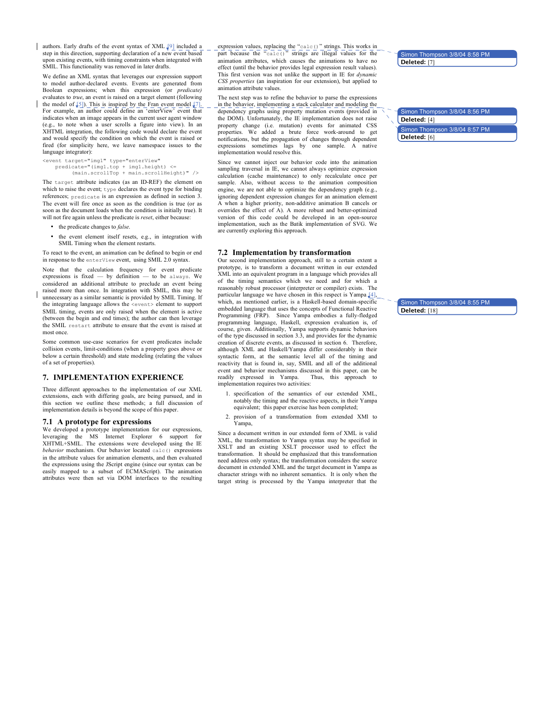authors. Early drafts of the event syntax of XML [9] included a step in this direction, supporting declaration of a new event based upon existing events, with timing constraints when integrated with SMIL. This functionality was removed in later drafts.

We define an XML syntax that leverages our expression support to model author-declared events. Events are generated from Boolean expressions; when this expression (or *predicate)* evaluates to *true*, an event is raised on a target element (following

the model of  $\sqrt{5}$ ]. This is inspired by the Fran event model  $\sqrt{17}$ . For example, an author could define an 'enterView' event that indicates when an image appears in the current user agent window (e.g., to note when a user scrolls a figure into view). In an XHTML integration, the following code would declare the event and would specify the condition on which the event is raised or fired (for simplicity here, we leave namespace issues to the language integrator):

```
<event target="img1" type="enterView"
 predicate="(img1.top + img1.height) <= 
 (main.scrollTop + main.scrollHeight)" />
```
The target attribute indicates (as an ID-REF) the element on which to raise the event; type declares the event type for binding references; predicate is an expression as defined in section 3. The event will fire once as soon as the condition is true (or as soon as the document loads when the condition is initially true). It will not fire again unless the predicate is *reset*, either because:

- the predicate changes to *false*.
- the event element itself resets, e.g., in integration with SMIL Timing when the element restarts.

To react to the event, an animation can be defined to begin or end in response to the enterView event, using SMIL 2.0 syntax.

Note that the calculation frequency for event predicate expressions is fixed — by definition — to be  $a1_{\text{Wav}}$ . We considered an additional attribute to preclude an event being raised more than once. In integration with SMIL, this may be unnecessary as a similar semantic is provided by SMIL Timing. If the integrating language allows the  $\le$ event> element to support SMIL timing, events are only raised when the element is active (between the begin and end times); the author can then leverage the SMIL restart attribute to ensure that the event is raised at most once.

Some common use-case scenarios for event predicates include collision events, limit-conditions (when a property goes above or below a certain threshold) and state modeling (relating the values of a set of properties).

#### **7. IMPLEMENTATION EXPERIENCE**

Three different approaches to the implementation of our XML extensions, each with differing goals, are being pursued, and in this section we outline these methods; a full discussion of implementation details is beyond the scope of this paper.

#### **7.1 A prototype for expressions**

We developed a prototype implementation for our expressions, leveraging the MS Internet Explorer 6 support for XHTML+SMIL. The extensions were developed using the IE *behavior* mechanism. Our behavior located calc() expressions in the attribute values for animation elements, and then evaluated the expressions using the JScript engine (since our syntax can be easily mapped to a subset of ECMAScript). The animation attributes were then set via DOM interfaces to the resulting

expression values, replacing the "calc()" strings. This works in part because the "calc()" strings are illegal values for the animation attributes, which causes the animations to have no effect (until the behavior provides legal expression result values). This first version was not unlike the support in IE for *dynamic CSS properties* (an inspiration for our extension), but applied to animation attribute values.

The next step was to refine the behavior to parse the expressions in the behavior, implementing a stack calculator and modeling the dependency graphs using property mutation events (provided in the DOM). Unfortunately, the IE implementation does not raise property change (i.e. mutation) events for animated CSS properties. We added a brute force work-around to get notifications, but the propagation of changes through dependent expressions sometimes lags by one sample. A native implementation would resolve this.

Since we cannot inject our behavior code into the animation sampling traversal in IE, we cannot always optimize expression calculation (cache maintenance) to only recalculate once per sample. Also, without access to the animation composition engine, we are not able to optimize the dependency graph (e.g., ignoring dependent expression changes for an animation element A when a higher priority, non-additive animation B cancels or overrides the effect of A). A more robust and better-optimized version of this code could be developed in an open-source implementation, such as the Batik implementation of SVG. We are currently exploring this approach.

#### **7.2 Implementation by transformation**

Our second implementation approach, still to a certain extent a prototype, is to transform a document written in our extended XML into an equivalent program in a language which provides all of the timing semantics which we need and for which a reasonably robust processor (interpreter or compiler) exists. The particular language we have chosen in this respect is Yampa [4]. which, as mentioned earlier, is a Haskell-based domain-specific embedded language that uses the concepts of Functional Reactive Programming (FRP). Since Yampa embodies a fully-fledged programming language, Haskell, expression evaluation is, of course, given. Additionally, Yampa supports dynamic behaviors of the type discussed in section 3.3, and provides for the dynamic creation of discrete events, as discussed in section 6. Therefore, although XML and Haskell/Yampa differ considerably in their syntactic form, at the semantic level all of the timing and reactivity that is found in, say, SMIL and all of the additional event and behavior mechanisms discussed in this paper, can be readily expressed in Yampa. Thus, this approach to readily expressed in Yampa. implementation requires two activities:

- 1. specification of the semantics of our extended XML, notably the timing and the reactive aspects, in their Yampa equivalent; this paper exercise has been completed;
- 2. provision of a transformation from extended XMl to Yampa,

Since a document written in our extended form of XML is valid XML, the transformation to Yampa syntax may be specified in XSLT and an existing XSLT processor used to effect the transformation. It should be emphasized that this transformation need address only syntax; the transformation considers the source document in extended XML and the target document in Yampa as character strings with no inherent semantics. It is only when the target string is processed by the Yampa interpreter that the

Simon Thompson 3/8/04 8:58 PM **Deleted:** [7]

Simon Thompson 3/8/04 8:56 PM Simon Thompson 3/8/04 8:57 PM **Deleted:** [4] **Deleted:** [6]

Simon Thompson 3/8/04 8:55 PM **Deleted:** [18]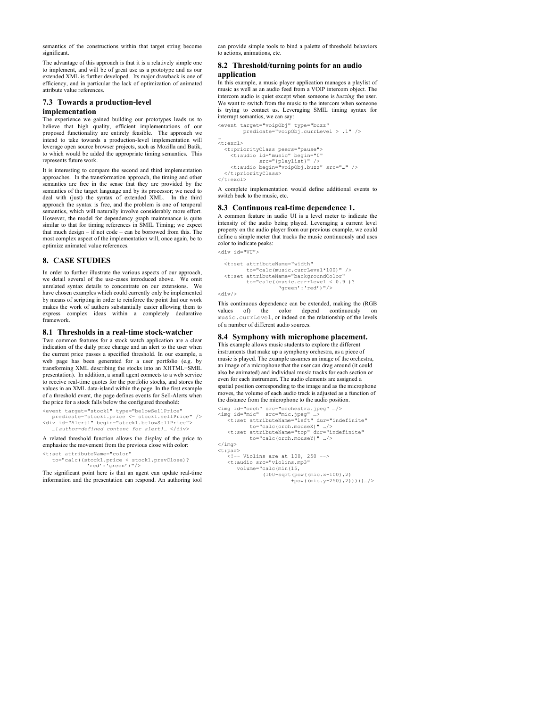semantics of the constructions within that target string become significant.

The advantage of this approach is that it is a relatively simple one to implement, and will be of great use as a prototype and as our extended XML is further developed. Its major drawback is one of efficiency, and in particular the lack of optimization of animated attribute value references.

## **7.3 Towards a production-level**

#### **implementation**

The experience we gained building our prototypes leads us to believe that high quality, efficient implementations of our proposed functionality are entirely feasible. The approach we intend to take towards a production-level implementation will leverage open source browser projects, such as Mozilla and Batik, to which would be added the appropriate timing semantics. This represents future work.

It is interesting to compare the second and third implementation approaches. In the transformation approach, the timing and other semantics are free in the sense that they are provided by the semantics of the target language and by its processor; we need to deal with (just) the syntax of extended XML. In the third approach the syntax is free, and the problem is one of temporal emantics, which will naturally involve considerably more effort. However, the model for dependency graph maintenance is quite similar to that for timing references in SMIL Timing; we expect that much design  $-$  if not code  $-$  can be borrowed from this. The most complex aspect of the implementation will, once again, be to optimize animated value references.

#### **8. CASE STUDIES**

In order to further illustrate the various aspects of our approach, we detail several of the use-cases introduced above. We omit unrelated syntax details to concentrate on our extensions. We have chosen examples which could currently only be implemented by means of scripting in order to reinforce the point that our work makes the work of authors substantially easier allowing them to express complex ideas within a completely declarative framework.

#### **8.1 Thresholds in a real-time stock-watcher**

Two common features for a stock watch application are a clear indication of the daily price change and an alert to the user when the current price passes a specified threshold. In our example, a web page has been generated for a user portfolio (e.g. by transforming XML describing the stocks into an XHTML+SMIL presentation). In addition, a small agent connects to a web service to receive real-time quotes for the portfolio stocks, and stores the values in an XML data-island within the page. In the first example of a threshold event, the page defines events for Sell-Alerts when the price for a stock falls below the configured threshold:

```
<event target="stock1" type="belowSellPrice"
 predicate="stock1.price <= stock1.sellPrice" />
<div id="Alert1" begin="stock1.belowSellPrice">
```
 …{*author-defined content for alert}*… </div> A related threshold function allows the display of the price to

emphasize the movement from the previous close with color:

```
<t:set attributeName="color" 
 to="calc((stock1.price < stock1.prevClose)?
```
 'red':'green')"/> The significant point here is that an agent can update real-time information and the presentation can respond. An authoring tool

can provide simple tools to bind a palette of threshold behaviors to actions, animations, etc.

#### **8.2 Threshold/turning points for an audio application**

In this example, a music player application manages a playlist of music as well as an audio feed from a VOIP intercom object. The intercom audio is quiet except when someone is *buzzing* the user. We want to switch from the music to the intercom when someone is trying to contact us. Leveraging SMIL timing syntax for interrupt semantics, we can say:

```
<event target="voipObj" type="buzz"
         predicate="voipObj.currLevel > .1" />
…
<t:excl>
   <t:priorityClass peers="pause">
     <t:audio id="music" begin="0" 
 src="{playlist}" />
 <t:audio begin="voipObj.buzz" src="…" />
   </t:priorityClass>
</t:excl>
```
A complete implementation would define additional events to switch back to the music, etc.

#### **8.3 Continuous real-time dependence 1.**

A common feature in audio UI is a level meter to indicate the intensity of the audio being played. Leveraging a current level property on the audio player from our previous example, we could define a simple meter that tracks the music continuously and uses color to indicate peaks:

<div id="VU"> …

```
 <t:set attributeName="width"
 to="calc(music.currLevel*100)" />
 <t:set attributeName="backgroundColor"
 to="calc((music.currLevel < 0.9 )?
 'green':'red')"/> 
\langle \text{div} \rangle
```
This continuous dependence can be extended, making the (RGB values of) the color depend continuously on music.currLevel, or indeed on the relationship of the levels of a number of different audio sources.

#### **8.4 Symphony with microphone placement.**

This example allows music students to explore the different instruments that make up a symphony orchestra, as a piece of music is played. The example assumes an image of the orchestra, an image of a microphone that the user can drag around (it could also be animated) and individual music tracks for each section or even for each instrument. The audio elements are assigned a spatial position corresponding to the image and as the microphone moves, the volume of each audio track is adjusted as a function of the distance from the microphone to the audio position.

```
<img id="orch" src="orchestra.jpeg" …/> 
<img id="mic" src="mic.jpeg" …> 
 <t:set attributeName="left" dur="indefinite"
 to="calc(orch.mouseX)" …/>
 <t:set attributeName="top" dur="indefinite"
                 to="calc(orch.mouseY)" …/>
\langle/img>
<t:par>
 <!-- Violins are at 100, 250 -->
 <t:audio src="violins.mp3" 
         volume="calc(min(15,
                       (100-sqrt(pow((mic.x-100),2)
```

```
 +pow((mic.y-250),2)))))…/>
```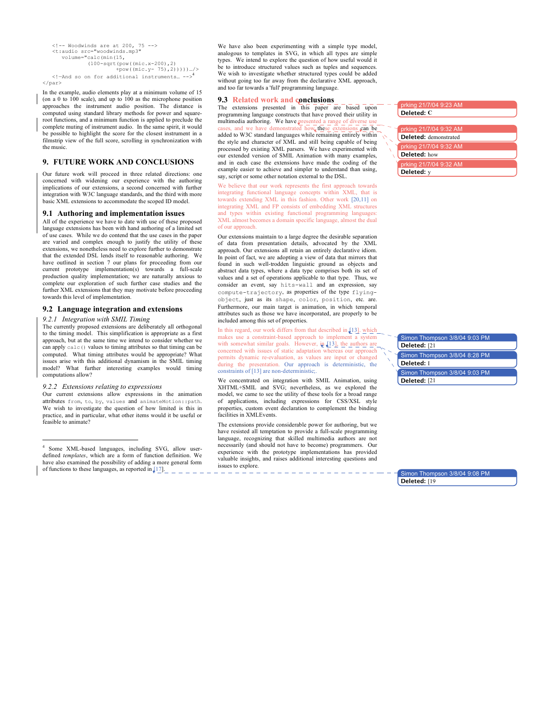```
\leq !-- Woodwinds are at 200, 75 -
    <t:audio src="woodwinds.mp3" 
       volume="calc(min(15,
                (100-sqrt(pow((mic.x-200),2)
                         +pow((mic.y- 75),2)))))…/> 
   <!—And so on for additional instruments… -->
                                                   4
</par>
```
In the example, audio elements play at a minimum volume of 15 (on a 0 to 100 scale), and up to 100 as the microphone position approaches the instrument audio position. The distance is computed using standard library methods for power and squareroot functions, and a minimum function is applied to preclude the complete muting of instrument audio. In the same spirit, it would be possible to highlight the score for the closest instrument in a filmstrip view of the full score, scrolling in synchronization with the music.

#### **9. FUTURE WORK AND CONCLUSIONS**

Our future work will proceed in three related directions: one concerned with widening our experience with the authoring implications of our extensions, a second concerned with further integration with W3C language standards, and the third with more basic XML extensions to accommodate the scoped ID model.

#### **9.1 Authoring and implementation issues**

All of the experience we have to date with use of these proposed language extensions has been with hand authoring of a limited set of use cases. While we do contend that the use cases in the paper are varied and complex enough to justify the utility of these extensions, we nonetheless need to explore further to demonstrate that the extended DSL lends itself to reasonable authoring. We have outlined in section 7 our plans for proceeding from our current prototype implementation(s) towards a full-scale production quality implementation; we are naturally anxious to complete our exploration of such further case studies and the further XML extensions that they may motivate before proceeding towards this level of implementation.

#### **9.2 Language integration and extensions**

*9.2.1 Integration with SMIL Timing*

The currently proposed extensions are deliberately all orthogonal to the timing model. This simplification is appropriate as a first approach, but at the same time we intend to consider whether we can apply calc() values to timing attributes so that timing can be computed. What timing attributes would be appropriate? What issues arise with this additional dynamism in the SMIL timing model? What further interesting examples would timing computations allow?

#### *9.2.2 Extensions relating to expressions*

 $\overline{a}$ 

Our current extensions allow expressions in the animation attributes from, to, by, values and animateMotion::path. We wish to investigate the question of how limited is this in practice, and in particular, what other items would it be useful or feasible to animate?

4 Some XML-based languages, including SVG, allow userdefined *templates*, which are a form of function definition. We have also examined the possibility of adding a more general form

of functions to these languages, as reported in  $[17]_{-}$  \_ \_

We have also been experimenting with a simple type model, analogous to templates in SVG, in which all types are simple types. We intend to explore the question of how useful would it be to introduce structured values such as tuples and sequences. We wish to investigate whether structured types could be added without going too far away from the declarative XML approach, and too far towards a 'full' programming language.

#### **9.3 Related work and conclusions**

The extensions presented in this paper are based upon programming language constructs that have proved their utility in multimedia authoring. We have presented a range of diverse use cases, and we have demonstrated how, these extensions can be added to W3C standard languages while remaining entirely within the style and character of XML and still being capable of being processed by existing XML parsers. We have experimented with our extended version of SMIL Animation with many examples, and in each case the extensions have made the coding of the example easier to achieve and simpler to understand than using, say, script or some other notation external to the DSL.

We believe that our work represents the first approach towards integrating functional language concepts within XML, that is towards extending XML in this fashion. Other work [20,11] on integrating XML and FP consists of embedding XML structures and types within existing functional programming languages: XML almost becomes a domain specific language, almost the dual of our approach.

Our extensions maintain to a large degree the desirable separation of data from presentation details, advocated by the XML approach. Our extensions all retain an entirely declarative idiom. In point of fact, we are adopting a view of data that mirrors that found in such well-trodden linguistic ground as objects and abstract data types, where a data type comprises both its set of values and a set of operations applicable to that type. Thus, we consider an event, say hits-wall and an expression, say compute-trajectory, as properties of the type flyingobject, just as its shape, color, position, etc. are. Furthermore, our main target is animation, in which temporal attributes such as those we have incorporated, are properly to be included among this set of properties.

In this regard, our work differs from that described in [13]. which makes use a constraint-based approach to implement a system with somewhat similar goals. However, in [13], the authors are concerned with issues of static adaptation whereas our approach permits dynamic re-evaluation, as values are input or changed during the presentation. Our approach is deterministic, the constraints of [13] are non-deterministic;.

We concentrated on integration with SMIL Animation, using XHTML+SMIL and SVG; nevertheless, as we explored the model, we came to see the utility of these tools for a broad range of applications, including expressions for CSS/XSL style properties, custom event declaration to complement the binding facilities in XMLEvents.

The extensions provide considerable power for authoring, but we have resisted all temptation to provide a full-scale programming language, recognizing that skilled multimedia authors are not necessarily (and should not have to become) programmers. Our experience with the prototype implementations has provided valuable insights, and raises additional interesting questions and issues to explore.

#### prking 21/7/04 9:23 AM **Deleted: C**

| prking 21/7/04 9:32 AM |
|------------------------|
| Deleted: demonstrated  |
| prking 21/7/04 9:32 AM |
| Deleted: how           |
| prking 21/7/04 9:32 AM |
| Deleted: y             |



Simon Thompson 3/8/04 9:08 PM **Deleted:** [19